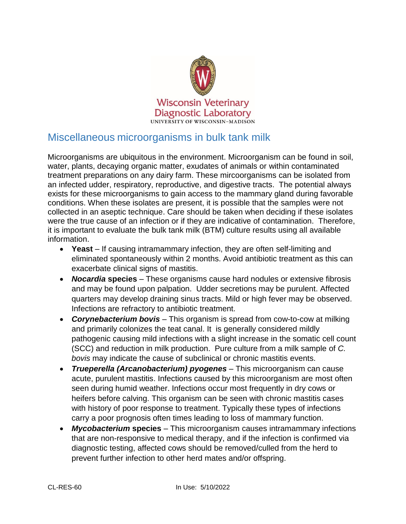

## Miscellaneous microorganisms in bulk tank milk

Microorganisms are ubiquitous in the environment. Microorganism can be found in soil, water, plants, decaying organic matter, exudates of animals or within contaminated treatment preparations on any dairy farm. These mircoorganisms can be isolated from an infected udder, respiratory, reproductive, and digestive tracts. The potential always exists for these microorganisms to gain access to the mammary gland during favorable conditions. When these isolates are present, it is possible that the samples were not collected in an aseptic technique. Care should be taken when deciding if these isolates were the true cause of an infection or if they are indicative of contamination. Therefore, it is important to evaluate the bulk tank milk (BTM) culture results using all available information.

- **Yeast** If causing intramammary infection, they are often self-limiting and eliminated spontaneously within 2 months. Avoid antibiotic treatment as this can exacerbate clinical signs of mastitis.
- *Nocardia* **species** These organisms cause hard nodules or extensive fibrosis and may be found upon palpation. Udder secretions may be purulent. Affected quarters may develop draining sinus tracts. Mild or high fever may be observed. Infections are refractory to antibiotic treatment.
- *Corynebacterium bovis* This organism is spread from cow-to-cow at milking and primarily colonizes the teat canal. It is generally considered mildly pathogenic causing mild infections with a slight increase in the somatic cell count (SCC) and reduction in milk production. Pure culture from a milk sample of *C. bovis* may indicate the cause of subclinical or chronic mastitis events.
- *Trueperella (Arcanobacterium) pyogenes* This microorganism can cause acute, purulent mastitis. Infections caused by this microorganism are most often seen during humid weather. Infections occur most frequently in dry cows or heifers before calving. This organism can be seen with chronic mastitis cases with history of poor response to treatment. Typically these types of infections carry a poor prognosis often times leading to loss of mammary function.
- *Mycobacterium* **species** This microorganism causes intramammary infections that are non-responsive to medical therapy, and if the infection is confirmed via diagnostic testing, affected cows should be removed/culled from the herd to prevent further infection to other herd mates and/or offspring.